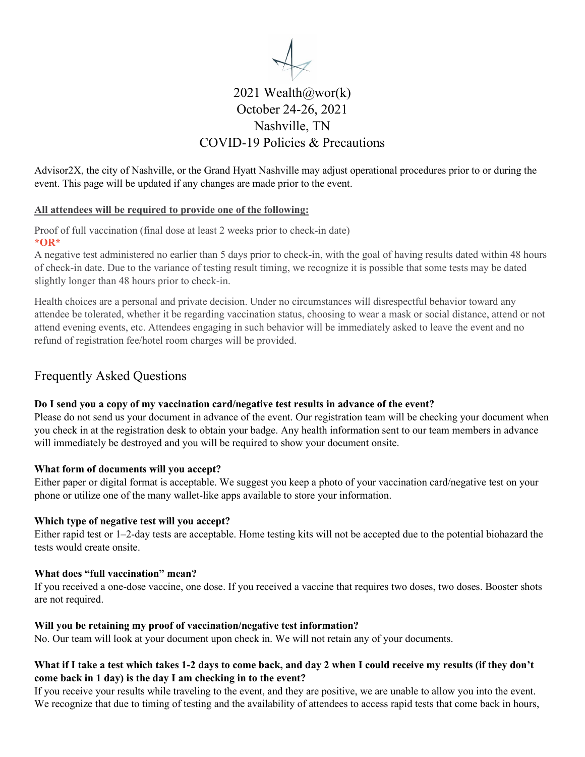

# 2021 Wealth@wor(k) October 24-26, 2021 Nashville, TN COVID-19 Policies & Precautions

Advisor2X, the city of Nashville, or the Grand Hyatt Nashville may adjust operational procedures prior to or during the event. This page will be updated if any changes are made prior to the event.

#### **All attendees will be required to provide one of the following:**

Proof of full vaccination (final dose at least 2 weeks prior to check-in date) **\*OR\***

A negative test administered no earlier than 5 days prior to check-in, with the goal of having results dated within 48 hours of check-in date. Due to the variance of testing result timing, we recognize it is possible that some tests may be dated slightly longer than 48 hours prior to check-in.

Health choices are a personal and private decision. Under no circumstances will disrespectful behavior toward any attendee be tolerated, whether it be regarding vaccination status, choosing to wear a mask or social distance, attend or not attend evening events, etc. Attendees engaging in such behavior will be immediately asked to leave the event and no refund of registration fee/hotel room charges will be provided.

### Frequently Asked Questions

#### **Do I send you a copy of my vaccination card/negative test results in advance of the event?**

Please do not send us your document in advance of the event. Our registration team will be checking your document when you check in at the registration desk to obtain your badge. Any health information sent to our team members in advance will immediately be destroyed and you will be required to show your document onsite.

#### **What form of documents will you accept?**

Either paper or digital format is acceptable. We suggest you keep a photo of your vaccination card/negative test on your phone or utilize one of the many wallet-like apps available to store your information.

#### **Which type of negative test will you accept?**

Either rapid test or 1–2-day tests are acceptable. Home testing kits will not be accepted due to the potential biohazard the tests would create onsite.

#### **What does "full vaccination" mean?**

If you received a one-dose vaccine, one dose. If you received a vaccine that requires two doses, two doses. Booster shots are not required.

#### **Will you be retaining my proof of vaccination/negative test information?**

No. Our team will look at your document upon check in. We will not retain any of your documents.

#### **What if I take a test which takes 1-2 days to come back, and day 2 when I could receive my results (if they don't come back in 1 day) is the day I am checking in to the event?**

If you receive your results while traveling to the event, and they are positive, we are unable to allow you into the event. We recognize that due to timing of testing and the availability of attendees to access rapid tests that come back in hours,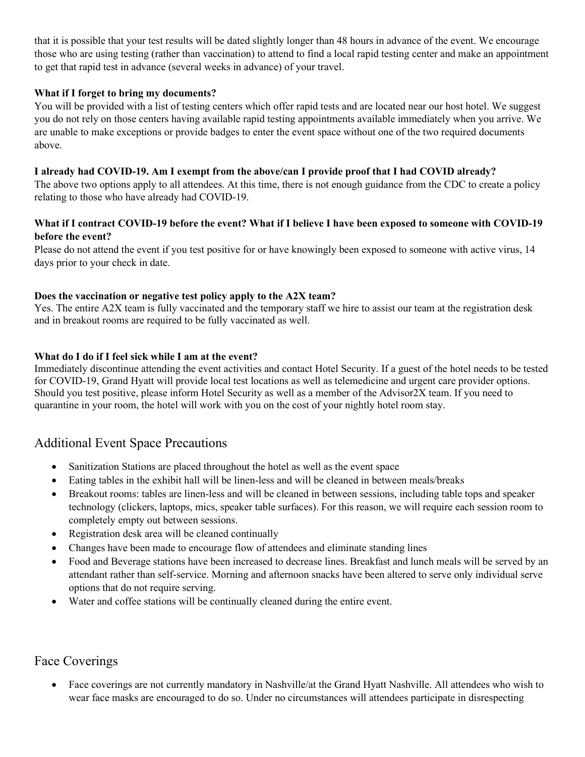that it is possible that your test results will be dated slightly longer than 48 hours in advance of the event. We encourage those who are using testing (rather than vaccination) to attend to find a local rapid testing center and make an appointment to get that rapid test in advance (several weeks in advance) of your travel.

#### **What if I forget to bring my documents?**

You will be provided with a list of testing centers which offer rapid tests and are located near our host hotel. We suggest you do not rely on those centers having available rapid testing appointments available immediately when you arrive. We are unable to make exceptions or provide badges to enter the event space without one of the two required documents above.

#### **I already had COVID-19. Am I exempt from the above/can I provide proof that I had COVID already?**

The above two options apply to all attendees. At this time, there is not enough guidance from the CDC to create a policy relating to those who have already had COVID-19.

#### **What if I contract COVID-19 before the event? What if I believe I have been exposed to someone with COVID-19 before the event?**

Please do not attend the event if you test positive for or have knowingly been exposed to someone with active virus, 14 days prior to your check in date.

#### **Does the vaccination or negative test policy apply to the A2X team?**

Yes. The entire A2X team is fully vaccinated and the temporary staff we hire to assist our team at the registration desk and in breakout rooms are required to be fully vaccinated as well.

#### **What do I do if I feel sick while I am at the event?**

Immediately discontinue attending the event activities and contact Hotel Security. If a guest of the hotel needs to be tested for COVID-19, Grand Hyatt will provide local test locations as well as telemedicine and urgent care provider options. Should you test positive, please inform Hotel Security as well as a member of the Advisor2X team. If you need to quarantine in your room, the hotel will work with you on the cost of your nightly hotel room stay.

### Additional Event Space Precautions

- Sanitization Stations are placed throughout the hotel as well as the event space
- Eating tables in the exhibit hall will be linen-less and will be cleaned in between meals/breaks
- Breakout rooms: tables are linen-less and will be cleaned in between sessions, including table tops and speaker technology (clickers, laptops, mics, speaker table surfaces). For this reason, we will require each session room to completely empty out between sessions.
- Registration desk area will be cleaned continually
- Changes have been made to encourage flow of attendees and eliminate standing lines
- Food and Beverage stations have been increased to decrease lines. Breakfast and lunch meals will be served by an attendant rather than self-service. Morning and afternoon snacks have been altered to serve only individual serve options that do not require serving.
- Water and coffee stations will be continually cleaned during the entire event.

### Face Coverings

• Face coverings are not currently mandatory in Nashville/at the Grand Hyatt Nashville. All attendees who wish to wear face masks are encouraged to do so. Under no circumstances will attendees participate in disrespecting